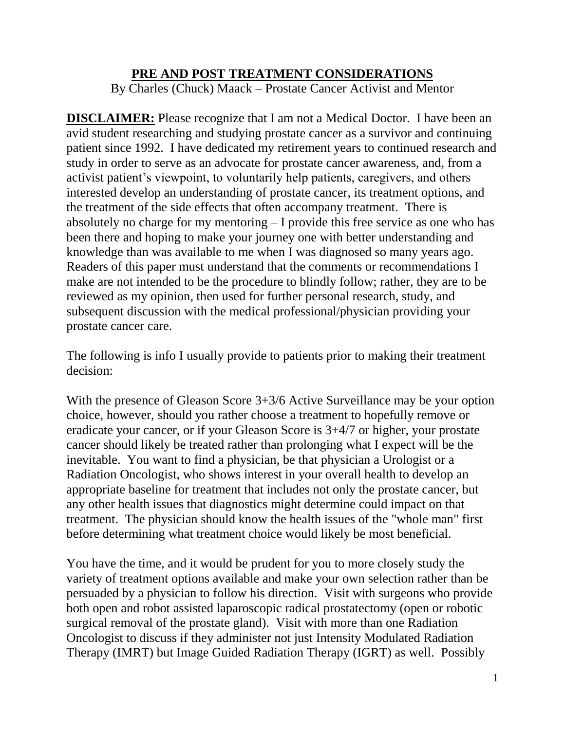## **PRE AND POST TREATMENT CONSIDERATIONS**

By Charles (Chuck) Maack – Prostate Cancer Activist and Mentor

**DISCLAIMER:** Please recognize that I am not a Medical Doctor. I have been an avid student researching and studying prostate cancer as a survivor and continuing patient since 1992. I have dedicated my retirement years to continued research and study in order to serve as an advocate for prostate cancer awareness, and, from a activist patient's viewpoint, to voluntarily help patients, caregivers, and others interested develop an understanding of prostate cancer, its treatment options, and the treatment of the side effects that often accompany treatment. There is absolutely no charge for my mentoring – I provide this free service as one who has been there and hoping to make your journey one with better understanding and knowledge than was available to me when I was diagnosed so many years ago. Readers of this paper must understand that the comments or recommendations I make are not intended to be the procedure to blindly follow; rather, they are to be reviewed as my opinion, then used for further personal research, study, and subsequent discussion with the medical professional/physician providing your prostate cancer care.

The following is info I usually provide to patients prior to making their treatment decision:

With the presence of Gleason Score 3+3/6 Active Surveillance may be your option choice, however, should you rather choose a treatment to hopefully remove or eradicate your cancer, or if your Gleason Score is 3+4/7 or higher, your prostate cancer should likely be treated rather than prolonging what I expect will be the inevitable. You want to find a physician, be that physician a Urologist or a Radiation Oncologist, who shows interest in your overall health to develop an appropriate baseline for treatment that includes not only the prostate cancer, but any other health issues that diagnostics might determine could impact on that treatment. The physician should know the health issues of the "whole man" first before determining what treatment choice would likely be most beneficial.

You have the time, and it would be prudent for you to more closely study the variety of treatment options available and make your own selection rather than be persuaded by a physician to follow his direction. Visit with surgeons who provide both open and robot assisted laparoscopic radical prostatectomy (open or robotic surgical removal of the prostate gland). Visit with more than one Radiation Oncologist to discuss if they administer not just Intensity Modulated Radiation Therapy (IMRT) but Image Guided Radiation Therapy (IGRT) as well. Possibly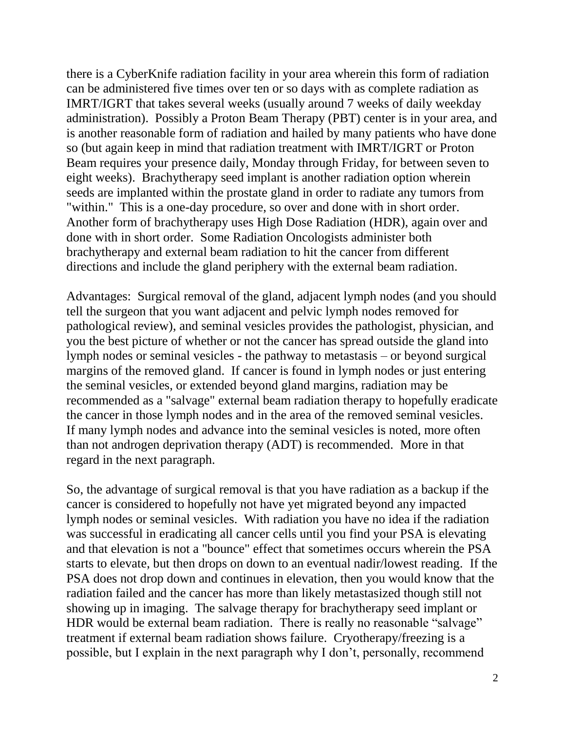there is a CyberKnife radiation facility in your area wherein this form of radiation can be administered five times over ten or so days with as complete radiation as IMRT/IGRT that takes several weeks (usually around 7 weeks of daily weekday administration). Possibly a Proton Beam Therapy (PBT) center is in your area, and is another reasonable form of radiation and hailed by many patients who have done so (but again keep in mind that radiation treatment with IMRT/IGRT or Proton Beam requires your presence daily, Monday through Friday, for between seven to eight weeks). Brachytherapy seed implant is another radiation option wherein seeds are implanted within the prostate gland in order to radiate any tumors from "within." This is a one-day procedure, so over and done with in short order. Another form of brachytherapy uses High Dose Radiation (HDR), again over and done with in short order. Some Radiation Oncologists administer both brachytherapy and external beam radiation to hit the cancer from different directions and include the gland periphery with the external beam radiation.

Advantages: Surgical removal of the gland, adjacent lymph nodes (and you should tell the surgeon that you want adjacent and pelvic lymph nodes removed for pathological review), and seminal vesicles provides the pathologist, physician, and you the best picture of whether or not the cancer has spread outside the gland into lymph nodes or seminal vesicles - the pathway to metastasis – or beyond surgical margins of the removed gland. If cancer is found in lymph nodes or just entering the seminal vesicles, or extended beyond gland margins, radiation may be recommended as a "salvage" external beam radiation therapy to hopefully eradicate the cancer in those lymph nodes and in the area of the removed seminal vesicles. If many lymph nodes and advance into the seminal vesicles is noted, more often than not androgen deprivation therapy (ADT) is recommended. More in that regard in the next paragraph.

So, the advantage of surgical removal is that you have radiation as a backup if the cancer is considered to hopefully not have yet migrated beyond any impacted lymph nodes or seminal vesicles. With radiation you have no idea if the radiation was successful in eradicating all cancer cells until you find your PSA is elevating and that elevation is not a "bounce" effect that sometimes occurs wherein the PSA starts to elevate, but then drops on down to an eventual nadir/lowest reading. If the PSA does not drop down and continues in elevation, then you would know that the radiation failed and the cancer has more than likely metastasized though still not showing up in imaging. The salvage therapy for brachytherapy seed implant or HDR would be external beam radiation. There is really no reasonable "salvage" treatment if external beam radiation shows failure. Cryotherapy/freezing is a possible, but I explain in the next paragraph why I don't, personally, recommend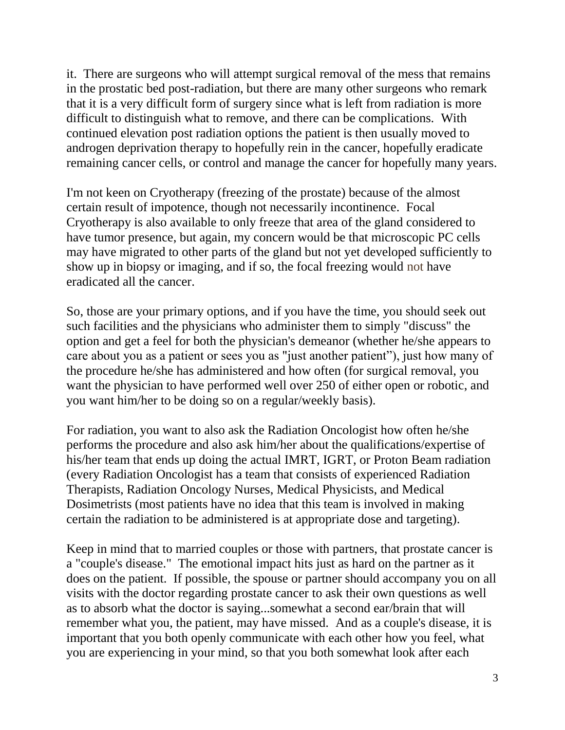it. There are surgeons who will attempt surgical removal of the mess that remains in the prostatic bed post-radiation, but there are many other surgeons who remark that it is a very difficult form of surgery since what is left from radiation is more difficult to distinguish what to remove, and there can be complications. With continued elevation post radiation options the patient is then usually moved to androgen deprivation therapy to hopefully rein in the cancer, hopefully eradicate remaining cancer cells, or control and manage the cancer for hopefully many years.

I'm not keen on Cryotherapy (freezing of the prostate) because of the almost certain result of impotence, though not necessarily incontinence. Focal Cryotherapy is also available to only freeze that area of the gland considered to have tumor presence, but again, my concern would be that microscopic PC cells may have migrated to other parts of the gland but not yet developed sufficiently to show up in biopsy or imaging, and if so, the focal freezing would not have eradicated all the cancer.

So, those are your primary options, and if you have the time, you should seek out such facilities and the physicians who administer them to simply "discuss" the option and get a feel for both the physician's demeanor (whether he/she appears to care about you as a patient or sees you as "just another patient"), just how many of the procedure he/she has administered and how often (for surgical removal, you want the physician to have performed well over 250 of either open or robotic, and you want him/her to be doing so on a regular/weekly basis).

For radiation, you want to also ask the Radiation Oncologist how often he/she performs the procedure and also ask him/her about the qualifications/expertise of his/her team that ends up doing the actual IMRT, IGRT, or Proton Beam radiation (every Radiation Oncologist has a team that consists of experienced Radiation Therapists, Radiation Oncology Nurses, Medical Physicists, and Medical Dosimetrists (most patients have no idea that this team is involved in making certain the radiation to be administered is at appropriate dose and targeting).

Keep in mind that to married couples or those with partners, that prostate cancer is a "couple's disease." The emotional impact hits just as hard on the partner as it does on the patient. If possible, the spouse or partner should accompany you on all visits with the doctor regarding prostate cancer to ask their own questions as well as to absorb what the doctor is saying...somewhat a second ear/brain that will remember what you, the patient, may have missed. And as a couple's disease, it is important that you both openly communicate with each other how you feel, what you are experiencing in your mind, so that you both somewhat look after each